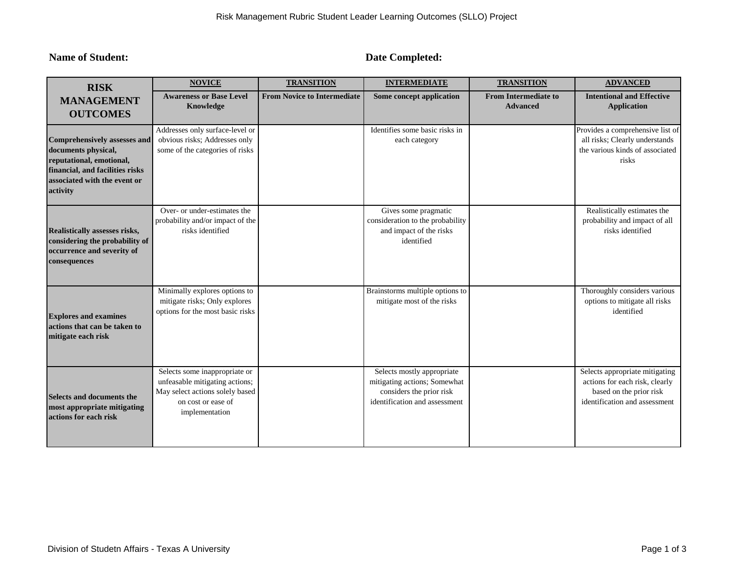**Name of Student: Date Completed: Date Completed:** 

| <b>RISK</b><br><b>MANAGEMENT</b><br><b>OUTCOMES</b>                                                                                                                   | <b>NOVICE</b>                                                                                                                              | <b>TRANSITION</b>                  | <b>INTERMEDIATE</b>                                                                                                     | <b>TRANSITION</b>                              | <b>ADVANCED</b>                                                                                                              |
|-----------------------------------------------------------------------------------------------------------------------------------------------------------------------|--------------------------------------------------------------------------------------------------------------------------------------------|------------------------------------|-------------------------------------------------------------------------------------------------------------------------|------------------------------------------------|------------------------------------------------------------------------------------------------------------------------------|
|                                                                                                                                                                       | <b>Awareness or Base Level</b><br><b>Knowledge</b>                                                                                         | <b>From Novice to Intermediate</b> | Some concept application                                                                                                | <b>From Intermediate to</b><br><b>Advanced</b> | <b>Intentional and Effective</b><br><b>Application</b>                                                                       |
| <b>Comprehensively assesses and</b><br>documents physical,<br>reputational, emotional,<br>financial, and facilities risks<br>associated with the event or<br>activity | Addresses only surface-level or<br>obvious risks; Addresses only<br>some of the categories of risks                                        |                                    | Identifies some basic risks in<br>each category                                                                         |                                                | Provides a comprehensive list of<br>all risks; Clearly understands<br>the various kinds of associated<br>risks               |
| Realistically assesses risks,<br>considering the probability of<br>occurrence and severity of<br>consequences                                                         | Over- or under-estimates the<br>probability and/or impact of the<br>risks identified                                                       |                                    | Gives some pragmatic<br>consideration to the probability<br>and impact of the risks<br>identified                       |                                                | Realistically estimates the<br>probability and impact of all<br>risks identified                                             |
| <b>Explores and examines</b><br>actions that can be taken to<br>mitigate each risk                                                                                    | Minimally explores options to<br>mitigate risks; Only explores<br>options for the most basic risks                                         |                                    | Brainstorms multiple options to<br>mitigate most of the risks                                                           |                                                | Thoroughly considers various<br>options to mitigate all risks<br>identified                                                  |
| <b>Selects and documents the</b><br>most appropriate mitigating<br>actions for each risk                                                                              | Selects some inappropriate or<br>unfeasable mitigating actions;<br>May select actions solely based<br>on cost or ease of<br>implementation |                                    | Selects mostly appropriate<br>mitigating actions; Somewhat<br>considers the prior risk<br>identification and assessment |                                                | Selects appropriate mitigating<br>actions for each risk, clearly<br>based on the prior risk<br>identification and assessment |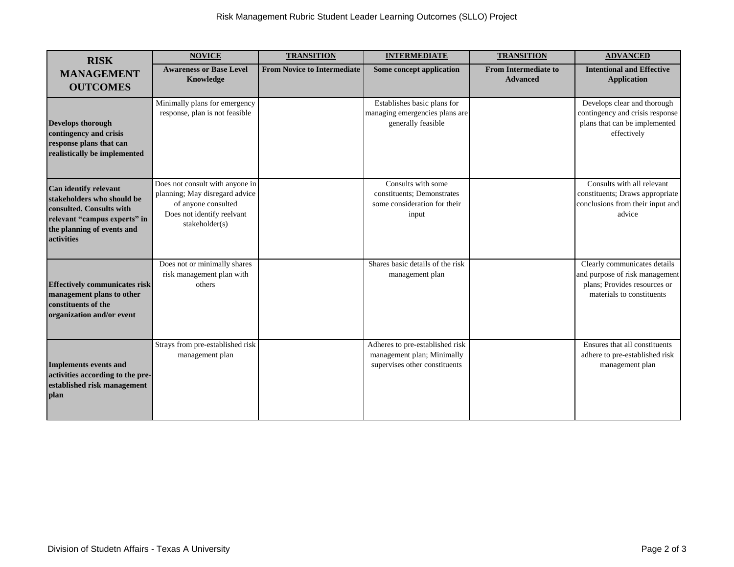| <b>RISK</b>                                                                                                                                                 | <b>NOVICE</b>                                                                                                                            | <b>TRANSITION</b>                  | <b>INTERMEDIATE</b>                                                                            | <b>TRANSITION</b>                              | <b>ADVANCED</b>                                                                                                             |
|-------------------------------------------------------------------------------------------------------------------------------------------------------------|------------------------------------------------------------------------------------------------------------------------------------------|------------------------------------|------------------------------------------------------------------------------------------------|------------------------------------------------|-----------------------------------------------------------------------------------------------------------------------------|
| <b>MANAGEMENT</b><br><b>OUTCOMES</b>                                                                                                                        | <b>Awareness or Base Level</b><br>Knowledge                                                                                              | <b>From Novice to Intermediate</b> | Some concept application                                                                       | <b>From Intermediate to</b><br><b>Advanced</b> | <b>Intentional and Effective</b><br><b>Application</b>                                                                      |
| Develops thorough<br>contingency and crisis<br>response plans that can<br>realistically be implemented                                                      | Minimally plans for emergency<br>response, plan is not feasible                                                                          |                                    | Establishes basic plans for<br>managing emergencies plans are<br>generally feasible            |                                                | Develops clear and thorough<br>contingency and crisis response<br>plans that can be implemented<br>effectively              |
| Can identify relevant<br>stakeholders who should be<br>consulted. Consults with<br>relevant "campus experts" in<br>the planning of events and<br>activities | Does not consult with anyone in<br>planning; May disregard advice<br>of anyone consulted<br>Does not identify reelvant<br>stakeholder(s) |                                    | Consults with some<br>constituents; Demonstrates<br>some consideration for their<br>input      |                                                | Consults with all relevant<br>constituents; Draws appropriate<br>conclusions from their input and<br>advice                 |
| <b>Effectively communicates risk</b><br>management plans to other<br>constituents of the<br>organization and/or event                                       | Does not or minimally shares<br>risk management plan with<br>others                                                                      |                                    | Shares basic details of the risk<br>management plan                                            |                                                | Clearly communicates details<br>and purpose of risk management<br>plans; Provides resources or<br>materials to constituents |
| <b>Implements events and</b><br>activities according to the pre-<br>established risk management<br>plan                                                     | Strays from pre-established risk<br>management plan                                                                                      |                                    | Adheres to pre-established risk<br>management plan; Minimally<br>supervises other constituents |                                                | Ensures that all constituents<br>adhere to pre-established risk<br>management plan                                          |